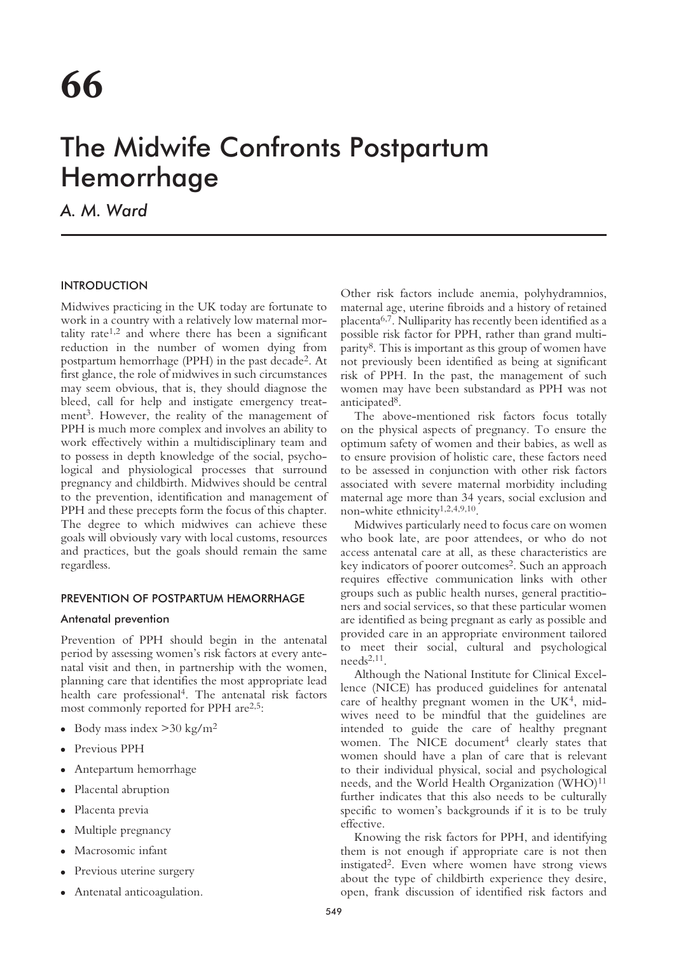# The Midwife Confronts Postpartum Hemorrhage

*A. M. Ward*

# INTRODUCTION

Midwives practicing in the UK today are fortunate to work in a country with a relatively low maternal mortality rate<sup> $1,2$ </sup> and where there has been a significant reduction in the number of women dying from postpartum hemorrhage (PPH) in the past decade2. At first glance, the role of midwives in such circumstances may seem obvious, that is, they should diagnose the bleed, call for help and instigate emergency treatment<sup>3</sup>. However, the reality of the management of PPH is much more complex and involves an ability to work effectively within a multidisciplinary team and to possess in depth knowledge of the social, psychological and physiological processes that surround pregnancy and childbirth. Midwives should be central to the prevention, identification and management of PPH and these precepts form the focus of this chapter. The degree to which midwives can achieve these goals will obviously vary with local customs, resources and practices, but the goals should remain the same regardless.

# PREVENTION OF POSTPARTUM HEMORRHAGE

# Antenatal prevention

Prevention of PPH should begin in the antenatal period by assessing women's risk factors at every antenatal visit and then, in partnership with the women, planning care that identifies the most appropriate lead health care professional4. The antenatal risk factors most commonly reported for PPH are<sup>2,5</sup>:

- Body mass index  $>$  30 kg/m<sup>2</sup>
- Previous PPH
- Antepartum hemorrhage
- Placental abruption
- Placenta previa
- Multiple pregnancy
- Macrosomic infant
- Previous uterine surgery
- Antenatal anticoagulation.

Other risk factors include anemia, polyhydramnios, maternal age, uterine fibroids and a history of retained placenta6,7. Nulliparity has recently been identified as a possible risk factor for PPH, rather than grand multiparity8. This is important as this group of women have not previously been identified as being at significant risk of PPH. In the past, the management of such women may have been substandard as PPH was not anticipated8.

The above-mentioned risk factors focus totally on the physical aspects of pregnancy. To ensure the optimum safety of women and their babies, as well as to ensure provision of holistic care, these factors need to be assessed in conjunction with other risk factors associated with severe maternal morbidity including maternal age more than 34 years, social exclusion and non-white ethnicity1,2,4,9,10.

Midwives particularly need to focus care on women who book late, are poor attendees, or who do not access antenatal care at all, as these characteristics are key indicators of poorer outcomes<sup>2</sup>. Such an approach requires effective communication links with other groups such as public health nurses, general practitioners and social services, so that these particular women are identified as being pregnant as early as possible and provided care in an appropriate environment tailored to meet their social, cultural and psychological needs2,11.

Although the National Institute for Clinical Excellence (NICE) has produced guidelines for antenatal care of healthy pregnant women in the UK<sup>4</sup>, midwives need to be mindful that the guidelines are intended to guide the care of healthy pregnant women. The NICE document<sup>4</sup> clearly states that women should have a plan of care that is relevant to their individual physical, social and psychological needs, and the World Health Organization  $(WHO)^{11}$ further indicates that this also needs to be culturally specific to women's backgrounds if it is to be truly effective.

Knowing the risk factors for PPH, and identifying them is not enough if appropriate care is not then instigated2. Even where women have strong views about the type of childbirth experience they desire, open, frank discussion of identified risk factors and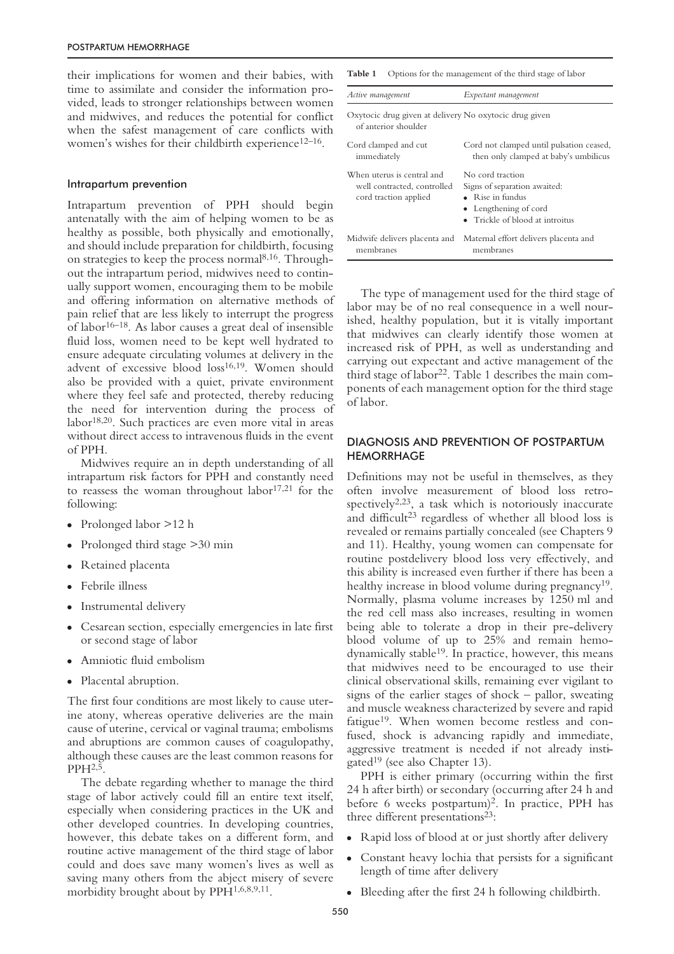their implications for women and their babies, with time to assimilate and consider the information provided, leads to stronger relationships between women and midwives, and reduces the potential for conflict when the safest management of care conflicts with women's wishes for their childbirth experience<sup>12–16</sup>.

#### Intrapartum prevention

Intrapartum prevention of PPH should begin antenatally with the aim of helping women to be as healthy as possible, both physically and emotionally, and should include preparation for childbirth, focusing on strategies to keep the process normal8,16. Throughout the intrapartum period, midwives need to continually support women, encouraging them to be mobile and offering information on alternative methods of pain relief that are less likely to interrupt the progress of labor<sup>16–18</sup>. As labor causes a great deal of insensible fluid loss, women need to be kept well hydrated to ensure adequate circulating volumes at delivery in the advent of excessive blood loss<sup>16,19</sup>. Women should also be provided with a quiet, private environment where they feel safe and protected, thereby reducing the need for intervention during the process of labor18,20. Such practices are even more vital in areas without direct access to intravenous fluids in the event of PPH.

Midwives require an in depth understanding of all intrapartum risk factors for PPH and constantly need to reassess the woman throughout labor $17,21$  for the following:

- Prolonged labor >12 h
- Prolonged third stage  $>30$  min
- Retained placenta
- Febrile illness
- Instrumental delivery
- Cesarean section, especially emergencies in late first or second stage of labor
- Amniotic fluid embolism
- Placental abruption.

The first four conditions are most likely to cause uterine atony, whereas operative deliveries are the main cause of uterine, cervical or vaginal trauma; embolisms and abruptions are common causes of coagulopathy, although these causes are the least common reasons for  $PPH<sup>2,5</sup>$ .

The debate regarding whether to manage the third stage of labor actively could fill an entire text itself, especially when considering practices in the UK and other developed countries. In developing countries, however, this debate takes on a different form, and routine active management of the third stage of labor could and does save many women's lives as well as saving many others from the abject misery of severe morbidity brought about by PPH<sup>1,6,8,9,11</sup>.

| Options for the management of the third stage of labor<br>Table 1                  |                                                                                                                                                  |
|------------------------------------------------------------------------------------|--------------------------------------------------------------------------------------------------------------------------------------------------|
| Active management                                                                  | Expectant management                                                                                                                             |
| Oxytocic drug given at delivery No oxytocic drug given<br>of anterior shoulder     |                                                                                                                                                  |
| Cord clamped and cut<br>immediately                                                | Cord not clamped until pulsation ceased,<br>then only clamped at baby's umbilicus                                                                |
| When uterus is central and<br>well contracted. controlled<br>cord traction applied | No cord traction<br>Signs of separation awaited:<br>$\bullet$ Rise in fundus<br>• Lengthening of cord<br>$\bullet$ Trickle of blood at introitus |
| Midwife delivers placenta and<br>membranes                                         | Maternal effort delivers placenta and<br>membranes                                                                                               |

The type of management used for the third stage of labor may be of no real consequence in a well nourished, healthy population, but it is vitally important that midwives can clearly identify those women at increased risk of PPH, as well as understanding and carrying out expectant and active management of the third stage of labor<sup>22</sup>. Table 1 describes the main components of each management option for the third stage of labor.

## DIAGNOSIS AND PREVENTION OF POSTPARTUM **HEMORRHAGE**

Definitions may not be useful in themselves, as they often involve measurement of blood loss retrospectively<sup>2,23</sup>, a task which is notoriously inaccurate and difficult<sup>23</sup> regardless of whether all blood loss is revealed or remains partially concealed (see Chapters 9 and 11). Healthy, young women can compensate for routine postdelivery blood loss very effectively, and this ability is increased even further if there has been a healthy increase in blood volume during pregnancy<sup>19</sup>. Normally, plasma volume increases by 1250 ml and the red cell mass also increases, resulting in women being able to tolerate a drop in their pre-delivery blood volume of up to 25% and remain hemodynamically stable19. In practice, however, this means that midwives need to be encouraged to use their clinical observational skills, remaining ever vigilant to signs of the earlier stages of shock – pallor, sweating and muscle weakness characterized by severe and rapid fatigue<sup>19</sup>. When women become restless and confused, shock is advancing rapidly and immediate, aggressive treatment is needed if not already instigated<sup>19</sup> (see also Chapter 13).

PPH is either primary (occurring within the first 24 h after birth) or secondary (occurring after 24 h and before 6 weeks postpartum)2. In practice, PPH has three different presentations<sup>23</sup>:

- Rapid loss of blood at or just shortly after delivery
- Constant heavy lochia that persists for a significant length of time after delivery
- Bleeding after the first 24 h following childbirth.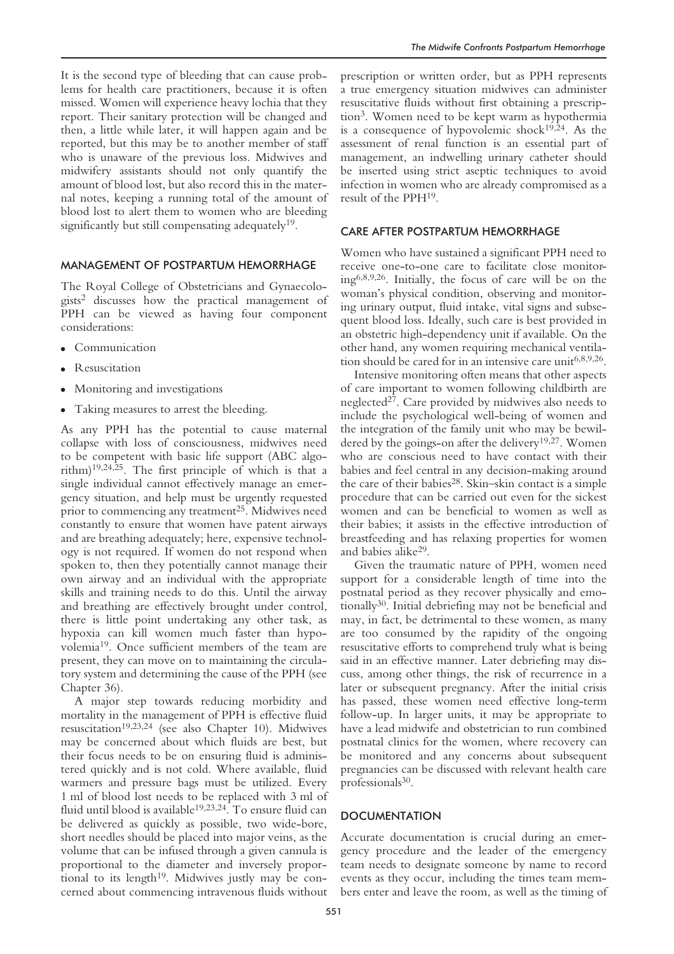It is the second type of bleeding that can cause problems for health care practitioners, because it is often missed. Women will experience heavy lochia that they report. Their sanitary protection will be changed and then, a little while later, it will happen again and be reported, but this may be to another member of staff who is unaware of the previous loss. Midwives and midwifery assistants should not only quantify the amount of blood lost, but also record this in the maternal notes, keeping a running total of the amount of blood lost to alert them to women who are bleeding significantly but still compensating adequately<sup>19</sup>.

### MANAGEMENT OF POSTPARTUM HEMORRHAGE

The Royal College of Obstetricians and Gynaecologists2 discusses how the practical management of PPH can be viewed as having four component considerations:

- Communication
- **Resuscitation**
- Monitoring and investigations
- Taking measures to arrest the bleeding.

As any PPH has the potential to cause maternal collapse with loss of consciousness, midwives need to be competent with basic life support (ABC algorithm)19,24,25. The first principle of which is that a single individual cannot effectively manage an emergency situation, and help must be urgently requested prior to commencing any treatment<sup>25</sup>. Midwives need constantly to ensure that women have patent airways and are breathing adequately; here, expensive technology is not required. If women do not respond when spoken to, then they potentially cannot manage their own airway and an individual with the appropriate skills and training needs to do this. Until the airway and breathing are effectively brought under control, there is little point undertaking any other task, as hypoxia can kill women much faster than hypovolemia19. Once sufficient members of the team are present, they can move on to maintaining the circulatory system and determining the cause of the PPH (see Chapter 36).

A major step towards reducing morbidity and mortality in the management of PPH is effective fluid resuscitation19,23,24 (see also Chapter 10). Midwives may be concerned about which fluids are best, but their focus needs to be on ensuring fluid is administered quickly and is not cold. Where available, fluid warmers and pressure bags must be utilized. Every 1 ml of blood lost needs to be replaced with 3 ml of fluid until blood is available<sup>19,23,24</sup>. To ensure fluid can be delivered as quickly as possible, two wide-bore, short needles should be placed into major veins, as the volume that can be infused through a given cannula is proportional to the diameter and inversely proportional to its length<sup>19</sup>. Midwives justly may be concerned about commencing intravenous fluids without

prescription or written order, but as PPH represents a true emergency situation midwives can administer resuscitative fluids without first obtaining a prescription3. Women need to be kept warm as hypothermia is a consequence of hypovolemic shock $19,24$ . As the assessment of renal function is an essential part of management, an indwelling urinary catheter should be inserted using strict aseptic techniques to avoid infection in women who are already compromised as a result of the PPH19.

## CARE AFTER POSTPARTUM HEMORRHAGE

Women who have sustained a significant PPH need to receive one-to-one care to facilitate close monitoring6,8,9,26. Initially, the focus of care will be on the woman's physical condition, observing and monitoring urinary output, fluid intake, vital signs and subsequent blood loss. Ideally, such care is best provided in an obstetric high-dependency unit if available. On the other hand, any women requiring mechanical ventilation should be cared for in an intensive care unit<sup>6,8,9,26</sup>.

Intensive monitoring often means that other aspects of care important to women following childbirth are neglected27. Care provided by midwives also needs to include the psychological well-being of women and the integration of the family unit who may be bewildered by the goings-on after the delivery<sup>19,27</sup>. Women who are conscious need to have contact with their babies and feel central in any decision-making around the care of their babies<sup>28</sup>. Skin–skin contact is a simple procedure that can be carried out even for the sickest women and can be beneficial to women as well as their babies; it assists in the effective introduction of breastfeeding and has relaxing properties for women and babies alike29.

Given the traumatic nature of PPH, women need support for a considerable length of time into the postnatal period as they recover physically and emotionally30. Initial debriefing may not be beneficial and may, in fact, be detrimental to these women, as many are too consumed by the rapidity of the ongoing resuscitative efforts to comprehend truly what is being said in an effective manner. Later debriefing may discuss, among other things, the risk of recurrence in a later or subsequent pregnancy. After the initial crisis has passed, these women need effective long-term follow-up. In larger units, it may be appropriate to have a lead midwife and obstetrician to run combined postnatal clinics for the women, where recovery can be monitored and any concerns about subsequent pregnancies can be discussed with relevant health care professionals<sup>30</sup>.

#### **DOCUMENTATION**

Accurate documentation is crucial during an emergency procedure and the leader of the emergency team needs to designate someone by name to record events as they occur, including the times team members enter and leave the room, as well as the timing of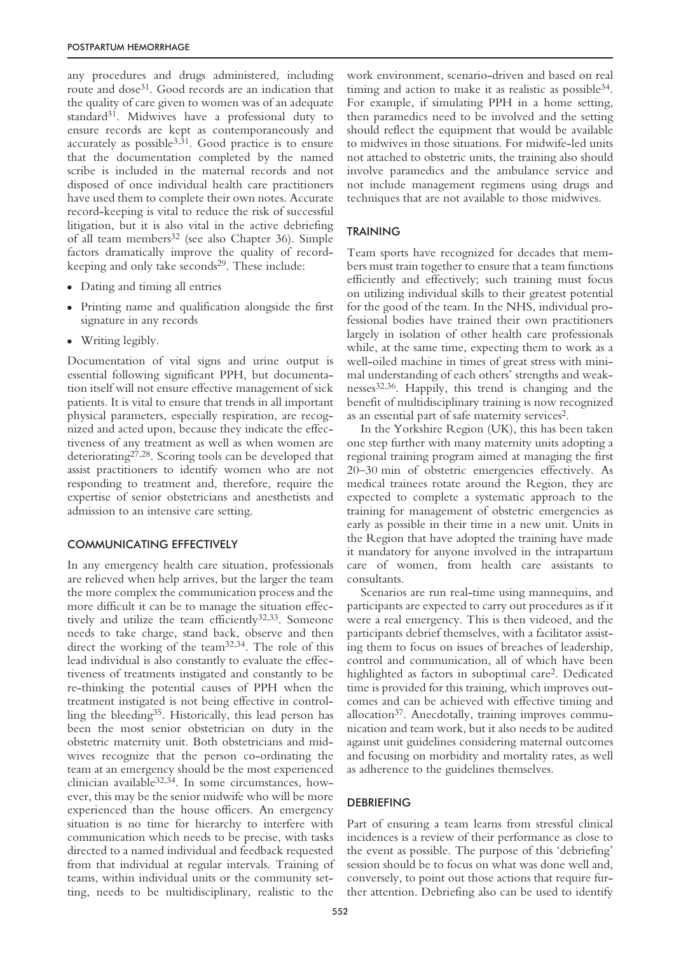any procedures and drugs administered, including route and dose<sup>31</sup>. Good records are an indication that the quality of care given to women was of an adequate standard31. Midwives have a professional duty to ensure records are kept as contemporaneously and accurately as possible $3,31$ . Good practice is to ensure that the documentation completed by the named scribe is included in the maternal records and not disposed of once individual health care practitioners have used them to complete their own notes. Accurate record-keeping is vital to reduce the risk of successful litigation, but it is also vital in the active debriefing of all team members<sup>32</sup> (see also Chapter 36). Simple factors dramatically improve the quality of recordkeeping and only take seconds<sup>29</sup>. These include:

- Dating and timing all entries
- Printing name and qualification alongside the first signature in any records
- Writing legibly.

Documentation of vital signs and urine output is essential following significant PPH, but documentation itself will not ensure effective management of sick patients. It is vital to ensure that trends in all important physical parameters, especially respiration, are recognized and acted upon, because they indicate the effectiveness of any treatment as well as when women are deteriorating<sup>27,28</sup>. Scoring tools can be developed that assist practitioners to identify women who are not responding to treatment and, therefore, require the expertise of senior obstetricians and anesthetists and admission to an intensive care setting.

#### COMMUNICATING EFFECTIVELY

In any emergency health care situation, professionals are relieved when help arrives, but the larger the team the more complex the communication process and the more difficult it can be to manage the situation effectively and utilize the team efficiently<sup>32,33</sup>. Someone needs to take charge, stand back, observe and then direct the working of the team32,34. The role of this lead individual is also constantly to evaluate the effectiveness of treatments instigated and constantly to be re-thinking the potential causes of PPH when the treatment instigated is not being effective in controlling the bleeding35. Historically, this lead person has been the most senior obstetrician on duty in the obstetric maternity unit. Both obstetricians and midwives recognize that the person co-ordinating the team at an emergency should be the most experienced clinician available32,34. In some circumstances, however, this may be the senior midwife who will be more experienced than the house officers. An emergency situation is no time for hierarchy to interfere with communication which needs to be precise, with tasks directed to a named individual and feedback requested from that individual at regular intervals. Training of teams, within individual units or the community setting, needs to be multidisciplinary, realistic to the work environment, scenario-driven and based on real timing and action to make it as realistic as possible<sup>34</sup>. For example, if simulating PPH in a home setting, then paramedics need to be involved and the setting should reflect the equipment that would be available to midwives in those situations. For midwife-led units not attached to obstetric units, the training also should involve paramedics and the ambulance service and not include management regimens using drugs and techniques that are not available to those midwives.

#### TRAINING

Team sports have recognized for decades that members must train together to ensure that a team functions efficiently and effectively; such training must focus on utilizing individual skills to their greatest potential for the good of the team. In the NHS, individual professional bodies have trained their own practitioners largely in isolation of other health care professionals while, at the same time, expecting them to work as a well-oiled machine in times of great stress with minimal understanding of each others' strengths and weaknesses32,36. Happily, this trend is changing and the benefit of multidisciplinary training is now recognized as an essential part of safe maternity services2.

In the Yorkshire Region (UK), this has been taken one step further with many maternity units adopting a regional training program aimed at managing the first 20–30 min of obstetric emergencies effectively. As medical trainees rotate around the Region, they are expected to complete a systematic approach to the training for management of obstetric emergencies as early as possible in their time in a new unit. Units in the Region that have adopted the training have made it mandatory for anyone involved in the intrapartum care of women, from health care assistants to consultants.

Scenarios are run real-time using mannequins, and participants are expected to carry out procedures as if it were a real emergency. This is then videoed, and the participants debrief themselves, with a facilitator assisting them to focus on issues of breaches of leadership, control and communication, all of which have been highlighted as factors in suboptimal care2. Dedicated time is provided for this training, which improves outcomes and can be achieved with effective timing and allocation<sup>37</sup>. Anecdotally, training improves communication and team work, but it also needs to be audited against unit guidelines considering maternal outcomes and focusing on morbidity and mortality rates, as well as adherence to the guidelines themselves.

## **DEBRIEFING**

Part of ensuring a team learns from stressful clinical incidences is a review of their performance as close to the event as possible. The purpose of this 'debriefing' session should be to focus on what was done well and, conversely, to point out those actions that require further attention. Debriefing also can be used to identify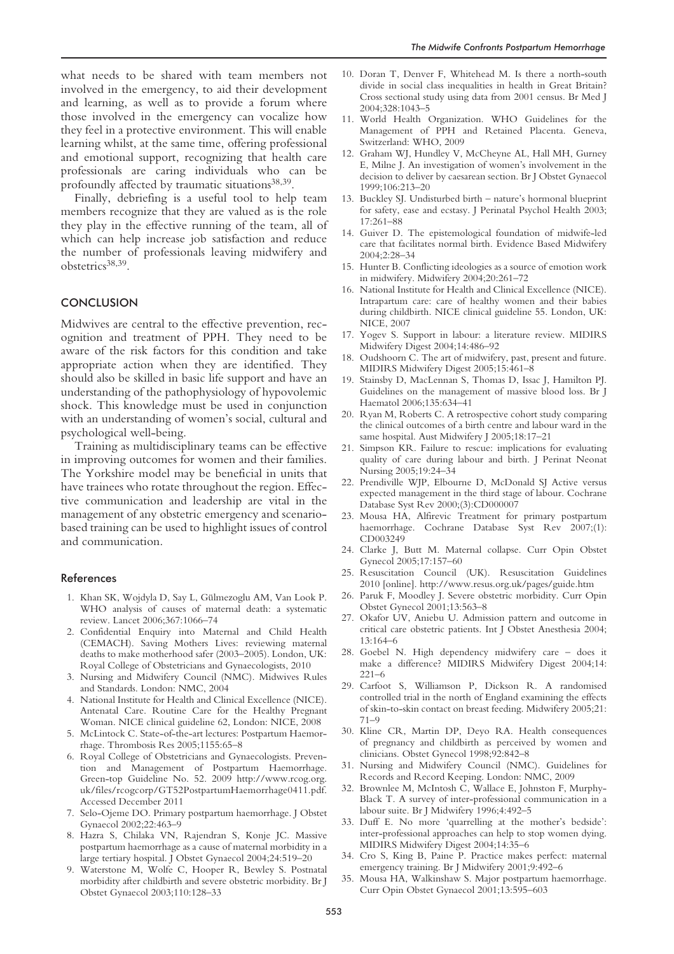what needs to be shared with team members not involved in the emergency, to aid their development and learning, as well as to provide a forum where those involved in the emergency can vocalize how they feel in a protective environment. This will enable learning whilst, at the same time, offering professional and emotional support, recognizing that health care professionals are caring individuals who can be profoundly affected by traumatic situations<sup>38,39</sup>.

Finally, debriefing is a useful tool to help team members recognize that they are valued as is the role they play in the effective running of the team, all of which can help increase job satisfaction and reduce the number of professionals leaving midwifery and obstetrics<sup>38,39</sup>.

## **CONCLUSION**

Midwives are central to the effective prevention, recognition and treatment of PPH. They need to be aware of the risk factors for this condition and take appropriate action when they are identified. They should also be skilled in basic life support and have an understanding of the pathophysiology of hypovolemic shock. This knowledge must be used in conjunction with an understanding of women's social, cultural and psychological well-being.

Training as multidisciplinary teams can be effective in improving outcomes for women and their families. The Yorkshire model may be beneficial in units that have trainees who rotate throughout the region. Effective communication and leadership are vital in the management of any obstetric emergency and scenariobased training can be used to highlight issues of control and communication.

#### References

- 1. Khan SK, Wojdyla D, Say L, Gülmezoglu AM, Van Look P. WHO analysis of causes of maternal death: a systematic review. Lancet 2006;367:1066–74
- 2. Confidential Enquiry into Maternal and Child Health (CEMACH). Saving Mothers Lives: reviewing maternal deaths to make motherhood safer (2003–2005). London, UK: Royal College of Obstetricians and Gynaecologists, 2010
- 3. Nursing and Midwifery Council (NMC). Midwives Rules and Standards. London: NMC, 2004
- 4. National Institute for Health and Clinical Excellence (NICE). Antenatal Care. Routine Care for the Healthy Pregnant Woman. NICE clinical guideline 62, London: NICE, 2008
- 5. McLintock C. State-of-the-art lectures: Postpartum Haemorrhage. Thrombosis Res 2005;1155:65–8
- Royal College of Obstetricians and Gynaecologists. Prevention and Management of Postpartum Haemorrhage. Green-top Guideline No. 52. 2009 http://www.rcog.org. uk/files/rcogcorp/GT52PostpartumHaemorrhage0411.pdf. Accessed December 2011
- 7. Selo-Ojeme DO. Primary postpartum haemorrhage. J Obstet Gynaecol 2002;22:463–9
- 8. Hazra S, Chilaka VN, Rajendran S, Konje JC. Massive postpartum haemorrhage as a cause of maternal morbidity in a large tertiary hospital. J Obstet Gynaecol 2004;24:519–20
- 9. Waterstone M, Wolfe C, Hooper R, Bewley S. Postnatal morbidity after childbirth and severe obstetric morbidity. Br J Obstet Gynaecol 2003;110:128–33
- 10. Doran T, Denver F, Whitehead M. Is there a north-south divide in social class inequalities in health in Great Britain? Cross sectional study using data from 2001 census. Br Med J 2004;328:1043–5
- 11. World Health Organization. WHO Guidelines for the Management of PPH and Retained Placenta. Geneva, Switzerland: WHO, 2009
- 12. Graham WJ, Hundley V, McCheyne AL, Hall MH, Gurney E, Milne J. An investigation of women's involvement in the decision to deliver by caesarean section. Br J Obstet Gynaecol 1999;106:213–20
- 13. Buckley SJ. Undisturbed birth nature's hormonal blueprint for safety, ease and ecstasy. J Perinatal Psychol Health 2003; 17:261–88
- 14. Guiver D. The epistemological foundation of midwife-led care that facilitates normal birth. Evidence Based Midwifery 2004;2:28–34
- 15. Hunter B. Conflicting ideologies as a source of emotion work in midwifery. Midwifery 2004;20:261–72
- 16. National Institute for Health and Clinical Excellence (NICE). Intrapartum care: care of healthy women and their babies during childbirth. NICE clinical guideline 55. London, UK: NICE, 2007
- 17. Yogev S. Support in labour: a literature review. MIDIRS Midwifery Digest 2004;14:486–92
- 18. Oudshoorn C. The art of midwifery, past, present and future. MIDIRS Midwifery Digest 2005;15:461–8
- 19. Stainsby D, MacLennan S, Thomas D, Issac J, Hamilton PJ. Guidelines on the management of massive blood loss. Br J Haematol 2006;135:634–41
- 20. Ryan M, Roberts C. A retrospective cohort study comparing the clinical outcomes of a birth centre and labour ward in the same hospital. Aust Midwifery J 2005;18:17–21
- 21. Simpson KR. Failure to rescue: implications for evaluating quality of care during labour and birth. J Perinat Neonat Nursing 2005;19:24–34
- 22. Prendiville WJP, Elbourne D, McDonald SJ Active versus expected management in the third stage of labour. Cochrane Database Syst Rev 2000;(3):CD000007
- 23. Mousa HA, Alfirevic Treatment for primary postpartum haemorrhage. Cochrane Database Syst Rev 2007;(1): CD003249
- 24. Clarke J, Butt M. Maternal collapse. Curr Opin Obstet Gynecol 2005;17:157–60
- 25. Resuscitation Council (UK). Resuscitation Guidelines 2010 [online]. http://www.resus.org.uk/pages/guide.htm
- 26. Paruk F, Moodley J. Severe obstetric morbidity. Curr Opin Obstet Gynecol 2001;13:563–8
- 27. Okafor UV, Aniebu U. Admission pattern and outcome in critical care obstetric patients. Int J Obstet Anesthesia 2004; 13:164–6
- 28. Goebel N. High dependency midwifery care does it make a difference? MIDIRS Midwifery Digest 2004;14: 221–6
- 29. Carfoot S, Williamson P, Dickson R. A randomised controlled trial in the north of England examining the effects of skin-to-skin contact on breast feeding. Midwifery 2005;21: 71–9
- 30. Kline CR, Martin DP, Deyo RA. Health consequences of pregnancy and childbirth as perceived by women and clinicians. Obstet Gynecol 1998;92:842–8
- 31. Nursing and Midwifery Council (NMC). Guidelines for Records and Record Keeping. London: NMC, 2009
- 32. Brownlee M, McIntosh C, Wallace E, Johnston F, Murphy-Black T. A survey of inter-professional communication in a labour suite. Br J Midwifery 1996;4:492–5
- 33. Duff E. No more 'quarrelling at the mother's bedside': inter-professional approaches can help to stop women dying. MIDIRS Midwifery Digest 2004;14:35–6
- 34. Cro S, King B, Paine P. Practice makes perfect: maternal emergency training. Br J Midwifery 2001;9:492–6
- 35. Mousa HA, Walkinshaw S. Major postpartum haemorrhage. Curr Opin Obstet Gynaecol 2001;13:595–603